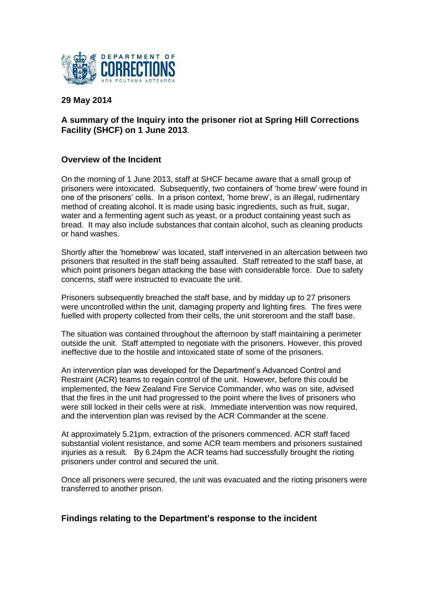

# **29 May 2014**

# **A summary of the Inquiry into the prisoner riot at Spring Hill Corrections Facility (SHCF) on 1 June 2013**.

## **Overview of the Incident**

On the morning of 1 June 2013, staff at SHCF became aware that a small group of prisoners were intoxicated. Subsequently, two containers of 'home brew' were found in one of the prisoners' cells. In a prison context, 'home brew', is an illegal, rudimentary method of creating alcohol. It is made using basic ingredients, such as fruit, sugar, water and a fermenting agent such as yeast, or a product containing yeast such as bread. It may also include substances that contain alcohol, such as cleaning products or hand washes.

Shortly after the 'homebrew' was located, staff intervened in an altercation between two prisoners that resulted in the staff being assaulted. Staff retreated to the staff base, at which point prisoners began attacking the base with considerable force. Due to safety concerns, staff were instructed to evacuate the unit.

Prisoners subsequently breached the staff base, and by midday up to 27 prisoners were uncontrolled within the unit, damaging property and lighting fires. The fires were fuelled with property collected from their cells, the unit storeroom and the staff base.

The situation was contained throughout the afternoon by staff maintaining a perimeter outside the unit. Staff attempted to negotiate with the prisoners. However, this proved ineffective due to the hostile and intoxicated state of some of the prisoners.

An intervention plan was developed for the Department's Advanced Control and Restraint (ACR) teams to regain control of the unit. However, before this could be implemented, the New Zealand Fire Service Commander, who was on site, advised that the fires in the unit had progressed to the point where the lives of prisoners who were still locked in their cells were at risk. Immediate intervention was now required, and the intervention plan was revised by the ACR Commander at the scene.

At approximately 5.21pm, extraction of the prisoners commenced. ACR staff faced substantial violent resistance, and some ACR team members and prisoners sustained injuries as a result. By 6.24pm the ACR teams had successfully brought the rioting prisoners under control and secured the unit.

Once all prisoners were secured, the unit was evacuated and the rioting prisoners were transferred to another prison.

#### **Findings relating to the Department's response to the incident**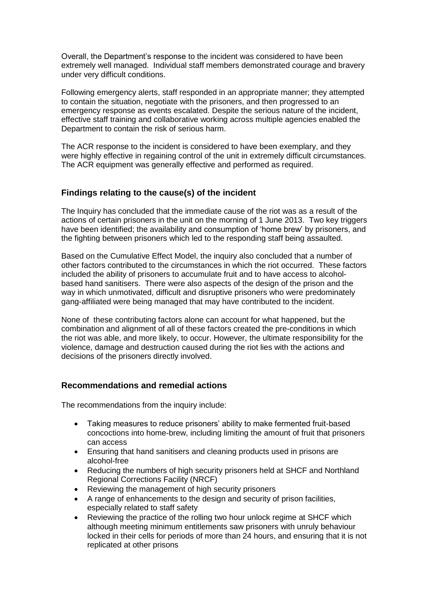Overall, the Department's response to the incident was considered to have been extremely well managed. Individual staff members demonstrated courage and bravery under very difficult conditions.

Following emergency alerts, staff responded in an appropriate manner; they attempted to contain the situation, negotiate with the prisoners, and then progressed to an emergency response as events escalated. Despite the serious nature of the incident, effective staff training and collaborative working across multiple agencies enabled the Department to contain the risk of serious harm.

The ACR response to the incident is considered to have been exemplary, and they were highly effective in regaining control of the unit in extremely difficult circumstances. The ACR equipment was generally effective and performed as required.

## **Findings relating to the cause(s) of the incident**

The Inquiry has concluded that the immediate cause of the riot was as a result of the actions of certain prisoners in the unit on the morning of 1 June 2013. Two key triggers have been identified; the availability and consumption of 'home brew' by prisoners, and the fighting between prisoners which led to the responding staff being assaulted.

Based on the Cumulative Effect Model, the inquiry also concluded that a number of other factors contributed to the circumstances in which the riot occurred. These factors included the ability of prisoners to accumulate fruit and to have access to alcoholbased hand sanitisers. There were also aspects of the design of the prison and the way in which unmotivated, difficult and disruptive prisoners who were predominately gang-affiliated were being managed that may have contributed to the incident.

None of these contributing factors alone can account for what happened, but the combination and alignment of all of these factors created the pre-conditions in which the riot was able, and more likely, to occur. However, the ultimate responsibility for the violence, damage and destruction caused during the riot lies with the actions and decisions of the prisoners directly involved.

#### **Recommendations and remedial actions**

The recommendations from the inquiry include:

- Taking measures to reduce prisoners' ability to make fermented fruit-based concoctions into home-brew, including limiting the amount of fruit that prisoners can access
- Ensuring that hand sanitisers and cleaning products used in prisons are alcohol-free
- Reducing the numbers of high security prisoners held at SHCF and Northland Regional Corrections Facility (NRCF)
- Reviewing the management of high security prisoners
- A range of enhancements to the design and security of prison facilities, especially related to staff safety
- Reviewing the practice of the rolling two hour unlock regime at SHCF which although meeting minimum entitlements saw prisoners with unruly behaviour locked in their cells for periods of more than 24 hours, and ensuring that it is not replicated at other prisons